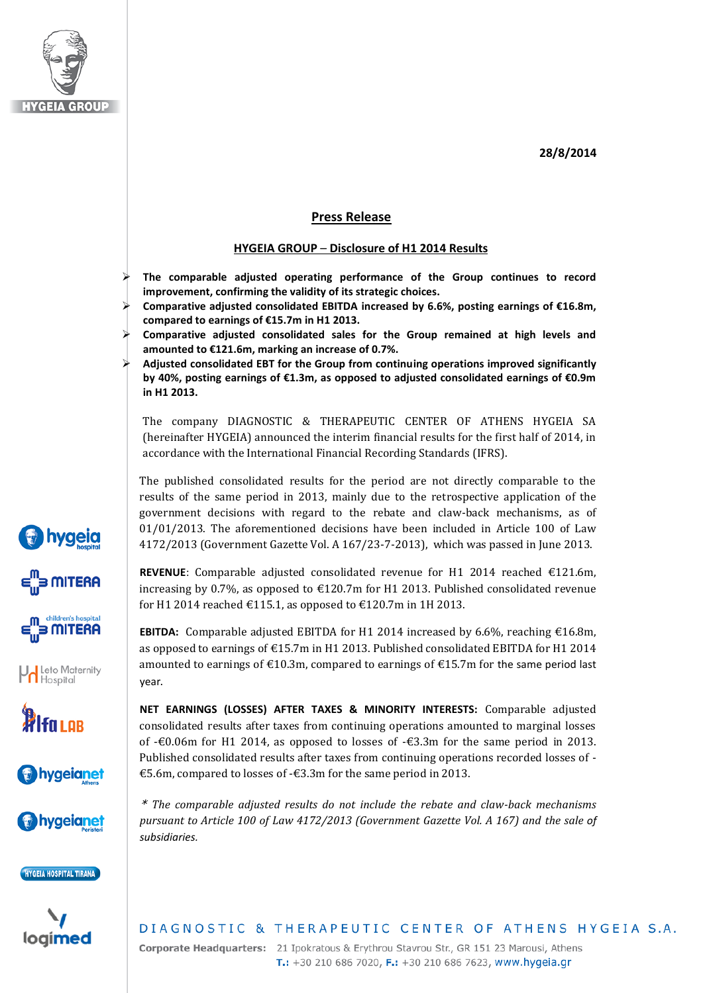**28/8/2014**



*bygeig* 

**MITERA** 

**MITERA** 

Leto Maternity

**WI**fo LAB

bygeianet

hygeianet

HYGEIA HOSPITAL TIRANA

loaimed

## **Press Release**

#### **HYGEIA GROUP** – **Disclosure of H1 2014 Results**

- **The comparable adjusted operating performance of the Group continues to record improvement, confirming the validity of its strategic choices.**
- **Comparative adjusted consolidated EBITDA increased by 6.6%, posting earnings of €16.8m, compared to earnings of €15.7m in H1 2013.**
- **Comparative adjusted consolidated sales for the Group remained at high levels and amounted to €121.6m, marking an increase of 0.7%.**
- **Adjusted consolidated EBT for the Group from continuing operations improved significantly by 40%, posting earnings of €1.3m, as opposed to adjusted consolidated earnings of €0.9m in H1 2013.**

The company DIAGNOSTIC & THERAPEUTIC CENTER OF ATHENS HYGEIA SA (hereinafter HYGEIA) announced the interim financial results for the first half of 2014, in accordance with the International Financial Recording Standards (IFRS).

The published consolidated results for the period are not directly comparable to the results of the same period in 2013, mainly due to the retrospective application of the government decisions with regard to the rebate and claw-back mechanisms, as of 01/01/2013. The aforementioned decisions have been included in Article 100 of Law 4172/2013 (Government Gazette Vol. A 167/23-7-2013), which was passed in June 2013.

**REVENUE**: Comparable adjusted consolidated revenue for H1 2014 reached €121.6m, increasing by 0.7%, as opposed to  $\text{\textsterling}120.7m$  for H1 2013. Published consolidated revenue for H1 2014 reached  $\text{\textsterling}115.1$ , as opposed to  $\text{\textsterling}120.7$ m in 1H 2013.

**EBITDA:** Comparable adjusted EBITDA for H1 2014 increased by 6.6%, reaching  $\epsilon$ 16.8m, as opposed to earnings of  $\text{\textsterling}15.7m$  in H1 2013. Published consolidated EBITDA for H1 2014 amounted to earnings of  $\epsilon$ 10.3m, compared to earnings of  $\epsilon$ 15.7m for the same period last year.

**NET EARNINGS (LOSSES) AFTER TAXES & MINORITY INTERESTS:** Comparable adjusted consolidated results after taxes from continuing operations amounted to marginal losses of -€0.06m for H1 2014, as opposed to losses of -€3.3m for the same period in 2013. Published consolidated results after taxes from continuing operations recorded losses of - €5.6m, compared to losses of -€3.3m for the same period in 2013.

\* *The comparable adjusted results do not include the rebate and claw-back mechanisms pursuant to Article 100 of Law 4172/2013 (Government Gazette Vol. A 167) and the sale of subsidiaries.*

# DIAGNOSTIC & THERAPEUTIC CENTER OF ATHENS HYGEIA S.A.

Corporate Headquarters: 21 Ipokratous & Erythrou Stavrou Str., GR 151 23 Marousi, Athens T.: +30 210 686 7020, F.: +30 210 686 7623, www.hygeia.gr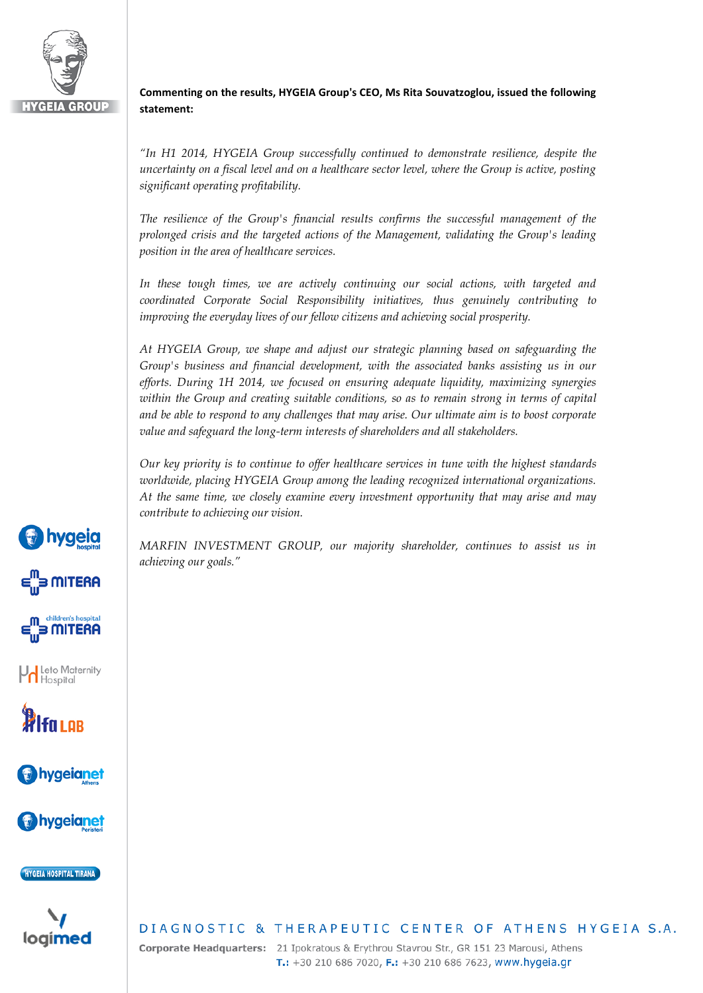

### **Commenting on the results, HYGEIA Group's CEO, Ms Rita Souvatzoglou, issued the following statement:**

*"In H1 2014, HYGEIA Group successfully continued to demonstrate resilience, despite the uncertainty on a fiscal level and on a healthcare sector level, where the Group is active, posting significant operating profitability.*

*The resilience of the Group's financial results confirms the successful management of the prolonged crisis and the targeted actions of the Management, validating the Group's leading position in the area of healthcare services.*

In these tough times, we are actively continuing our social actions, with targeted and *coordinated Corporate Social Responsibility initiatives, thus genuinely contributing to improving the everyday lives of our fellow citizens and achieving social prosperity.*

*At HYGEIA Group, we shape and adjust our strategic planning based on safeguarding the Group's business and financial development, with the associated banks assisting us in our efforts. During 1H 2014, we focused on ensuring adequate liquidity, maximizing synergies within the Group and creating suitable conditions, so as to remain strong in terms of capital and be able to respond to any challenges that may arise. Our ultimate aim is to boost corporate value and safeguard the long-term interests of shareholders and all stakeholders.*

*Our key priority is to continue to offer healthcare services in tune with the highest standards worldwide, placing HYGEIA Group among the leading recognized international organizations. At the same time, we closely examine every investment opportunity that may arise and may contribute to achieving our vision.*

*MARFIN INVESTMENT GROUP, our majority shareholder, continues to assist us in achieving our goals."*



**hygeia** 

3 MITERA

3 MITERA

**A** Leto Maternity

**WI**fain

*v* hygeianet

hygeianet)

logimed

### DIAGNOSTIC & THERAPEUTIC CENTER OF ATHENS HYGEIA S.A.

Corporate Headquarters: 21 Ipokratous & Erythrou Stavrou Str., GR 151 23 Marousi, Athens T.: +30 210 686 7020, F.: +30 210 686 7623, www.hygeia.gr